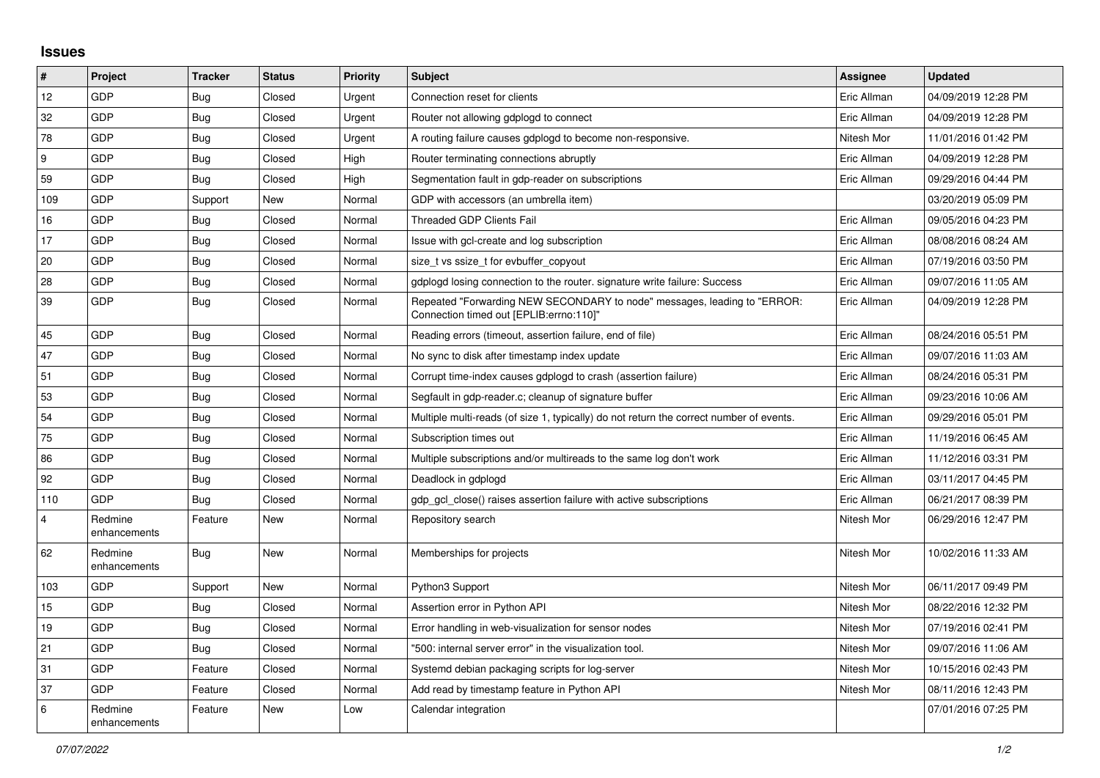## **Issues**

| $\vert$ # | Project                 | <b>Tracker</b> | <b>Status</b> | <b>Priority</b> | <b>Subject</b>                                                                                                      | Assignee    | <b>Updated</b>      |
|-----------|-------------------------|----------------|---------------|-----------------|---------------------------------------------------------------------------------------------------------------------|-------------|---------------------|
| 12        | GDP                     | <b>Bug</b>     | Closed        | Urgent          | Connection reset for clients                                                                                        | Eric Allman | 04/09/2019 12:28 PM |
| 32        | GDP                     | Bug            | Closed        | Urgent          | Router not allowing gdplogd to connect                                                                              | Eric Allman | 04/09/2019 12:28 PM |
| 78        | <b>GDP</b>              | Bug            | Closed        | Urgent          | A routing failure causes gdplogd to become non-responsive.                                                          | Nitesh Mor  | 11/01/2016 01:42 PM |
| 9         | GDP                     | Bug            | Closed        | High            | Router terminating connections abruptly                                                                             | Eric Allman | 04/09/2019 12:28 PM |
| 59        | GDP                     | Bug            | Closed        | High            | Segmentation fault in gdp-reader on subscriptions                                                                   | Eric Allman | 09/29/2016 04:44 PM |
| 109       | GDP                     | Support        | New           | Normal          | GDP with accessors (an umbrella item)                                                                               |             | 03/20/2019 05:09 PM |
| 16        | <b>GDP</b>              | <b>Bug</b>     | Closed        | Normal          | <b>Threaded GDP Clients Fail</b>                                                                                    | Eric Allman | 09/05/2016 04:23 PM |
| 17        | <b>GDP</b>              | <b>Bug</b>     | Closed        | Normal          | Issue with gcl-create and log subscription                                                                          | Eric Allman | 08/08/2016 08:24 AM |
| 20        | GDP                     | <b>Bug</b>     | Closed        | Normal          | size_t vs ssize_t for evbuffer_copyout                                                                              | Eric Allman | 07/19/2016 03:50 PM |
| 28        | <b>GDP</b>              | Bug            | Closed        | Normal          | gdplogd losing connection to the router, signature write failure: Success                                           | Eric Allman | 09/07/2016 11:05 AM |
| 39        | GDP                     | Bug            | Closed        | Normal          | Repeated "Forwarding NEW SECONDARY to node" messages, leading to "ERROR:<br>Connection timed out [EPLIB:errno:110]" | Eric Allman | 04/09/2019 12:28 PM |
| 45        | <b>GDP</b>              | Bug            | Closed        | Normal          | Reading errors (timeout, assertion failure, end of file)                                                            | Eric Allman | 08/24/2016 05:51 PM |
| 47        | GDP                     | Bug            | Closed        | Normal          | No sync to disk after timestamp index update                                                                        | Eric Allman | 09/07/2016 11:03 AM |
| 51        | GDP                     | <b>Bug</b>     | Closed        | Normal          | Corrupt time-index causes gdplogd to crash (assertion failure)                                                      | Eric Allman | 08/24/2016 05:31 PM |
| 53        | <b>GDP</b>              | <b>Bug</b>     | Closed        | Normal          | Segfault in gdp-reader.c; cleanup of signature buffer                                                               | Eric Allman | 09/23/2016 10:06 AM |
| 54        | GDP                     | <b>Bug</b>     | Closed        | Normal          | Multiple multi-reads (of size 1, typically) do not return the correct number of events.                             | Eric Allman | 09/29/2016 05:01 PM |
| 75        | GDP                     | Bug            | Closed        | Normal          | Subscription times out                                                                                              | Eric Allman | 11/19/2016 06:45 AM |
| 86        | <b>GDP</b>              | Bug            | Closed        | Normal          | Multiple subscriptions and/or multireads to the same log don't work                                                 | Eric Allman | 11/12/2016 03:31 PM |
| 92        | GDP                     | Bug            | Closed        | Normal          | Deadlock in gdplogd                                                                                                 | Eric Allman | 03/11/2017 04:45 PM |
| 110       | GDP                     | Bug            | Closed        | Normal          | gdp gcl close() raises assertion failure with active subscriptions                                                  | Eric Allman | 06/21/2017 08:39 PM |
| 4         | Redmine<br>enhancements | Feature        | New           | Normal          | Repository search                                                                                                   | Nitesh Mor  | 06/29/2016 12:47 PM |
| 62        | Redmine<br>enhancements | Bug            | New           | Normal          | Memberships for projects                                                                                            | Nitesh Mor  | 10/02/2016 11:33 AM |
| 103       | GDP                     | Support        | New           | Normal          | Python3 Support                                                                                                     | Nitesh Mor  | 06/11/2017 09:49 PM |
| 15        | GDP                     | Bug            | Closed        | Normal          | Assertion error in Python API                                                                                       | Nitesh Mor  | 08/22/2016 12:32 PM |
| 19        | <b>GDP</b>              | <b>Bug</b>     | Closed        | Normal          | Error handling in web-visualization for sensor nodes                                                                | Nitesh Mor  | 07/19/2016 02:41 PM |
| 21        | GDP                     | Bug            | Closed        | Normal          | "500: internal server error" in the visualization tool.                                                             | Nitesh Mor  | 09/07/2016 11:06 AM |
| 31        | GDP                     | Feature        | Closed        | Normal          | Systemd debian packaging scripts for log-server                                                                     | Nitesh Mor  | 10/15/2016 02:43 PM |
| 37        | <b>GDP</b>              | Feature        | Closed        | Normal          | Add read by timestamp feature in Python API                                                                         | Nitesh Mor  | 08/11/2016 12:43 PM |
| $\,6\,$   | Redmine<br>enhancements | Feature        | New           | Low             | Calendar integration                                                                                                |             | 07/01/2016 07:25 PM |